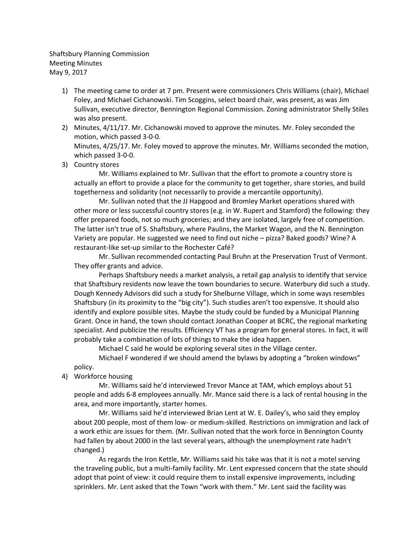Shaftsbury Planning Commission Meeting Minutes May 9, 2017

- 1) The meeting came to order at 7 pm. Present were commissioners Chris Williams (chair), Michael Foley, and Michael Cichanowski. Tim Scoggins, select board chair, was present, as was Jim Sullivan, executive director, Bennington Regional Commission. Zoning administrator Shelly Stiles was also present.
- 2) Minutes, 4/11/17. Mr. Cichanowski moved to approve the minutes. Mr. Foley seconded the motion, which passed 3-0-0.

Minutes, 4/25/17. Mr. Foley moved to approve the minutes. Mr. Williams seconded the motion, which passed 3-0-0.

3) Country stores

Mr. Williams explained to Mr. Sullivan that the effort to promote a country store is actually an effort to provide a place for the community to get together, share stories, and build togetherness and solidarity (not necessarily to provide a mercantile opportunity).

Mr. Sullivan noted that the JJ Hapgood and Bromley Market operations shared with other more or less successful country stores (e.g. in W. Rupert and Stamford) the following: they offer prepared foods, not so much groceries; and they are isolated, largely free of competition. The latter isn't true of S. Shaftsbury, where Paulins, the Market Wagon, and the N. Bennington Variety are popular. He suggested we need to find out niche – pizza? Baked goods? Wine? A restaurant-like set-up similar to the Rochester Café?

Mr. Sullivan recommended contacting Paul Bruhn at the Preservation Trust of Vermont. They offer grants and advice.

Perhaps Shaftsbury needs a market analysis, a retail gap analysis to identify that service that Shaftsbury residents now leave the town boundaries to secure. Waterbury did such a study. Dough Kennedy Advisors did such a study for Shelburne Village, which in some ways resembles Shaftsbury (in its proximity to the "big city"). Such studies aren't too expensive. It should also identify and explore possible sites. Maybe the study could be funded by a Municipal Planning Grant. Once in hand, the town should contact Jonathan Cooper at BCRC, the regional marketing specialist. And publicize the results. Efficiency VT has a program for general stores. In fact, it will probably take a combination of lots of things to make the idea happen.

Michael C said he would be exploring several sites in the Village center.

Michael F wondered if we should amend the bylaws by adopting a "broken windows" policy.

4) Workforce housing

Mr. Williams said he'd interviewed Trevor Mance at TAM, which employs about 51 people and adds 6-8 employees annually. Mr. Mance said there is a lack of rental housing in the area, and more importantly, starter homes.

Mr. Williams said he'd interviewed Brian Lent at W. E. Dailey's, who said they employ about 200 people, most of them low- or medium-skilled. Restrictions on immigration and lack of a work ethic are issues for them. (Mr. Sullivan noted that the work force in Bennington County had fallen by about 2000 in the last several years, although the unemployment rate hadn't changed.)

As regards the Iron Kettle, Mr. Williams said his take was that it is not a motel serving the traveling public, but a multi-family facility. Mr. Lent expressed concern that the state should adopt that point of view: it could require them to install expensive improvements, including sprinklers. Mr. Lent asked that the Town "work with them." Mr. Lent said the facility was